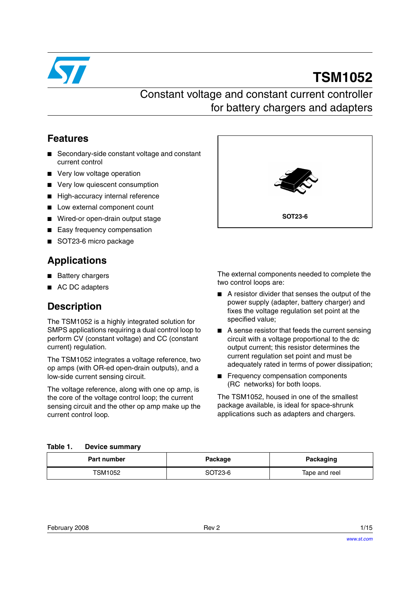

# **TSM1052**

### Constant voltage and constant current controller for battery chargers and adapters

### **Features**

- Secondary-side constant voltage and constant current control
- Very low voltage operation
- Very low quiescent consumption
- High-accuracy internal reference
- Low external component count
- Wired-or open-drain output stage
- Easy frequency compensation
- SOT23-6 micro package

### **Applications**

- Battery chargers
- AC DC adapters

### **Description**

The TSM1052 is a highly integrated solution for SMPS applications requiring a dual control loop to perform CV (constant voltage) and CC (constant current) regulation.

The TSM1052 integrates a voltage reference, two op amps (with OR-ed open-drain outputs), and a low-side current sensing circuit.

The voltage reference, along with one op amp, is the core of the voltage control loop; the current sensing circuit and the other op amp make up the current control loop.



The external components needed to complete the two control loops are:

- A resistor divider that senses the output of the power supply (adapter, battery charger) and fixes the voltage regulation set point at the specified value;
- A sense resistor that feeds the current sensing circuit with a voltage proportional to the dc output current; this resistor determines the current regulation set point and must be adequately rated in terms of power dissipation;
- Frequency compensation components (RC networks) for both loops.

The TSM1052, housed in one of the smallest package available, is ideal for space-shrunk applications such as adapters and chargers.

#### **Table 1. Device summary**

| <b>Part number</b> | Package | Packaging     |  |
|--------------------|---------|---------------|--|
| TSM1052            | SOT23-6 | Tape and reel |  |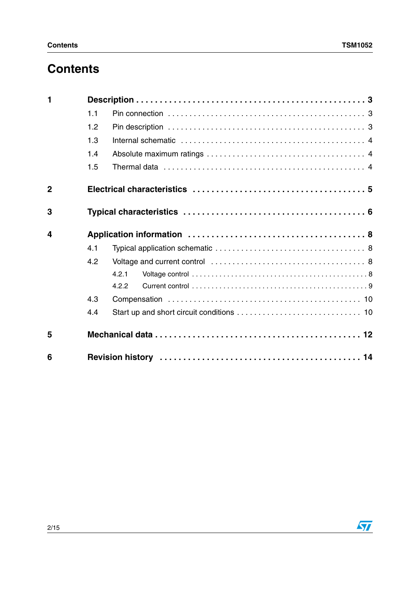# **Contents**

| 1              |     |       |
|----------------|-----|-------|
|                | 1.1 |       |
|                | 1.2 |       |
|                | 1.3 |       |
|                | 1.4 |       |
|                | 1.5 |       |
| $\overline{2}$ |     |       |
| 3              |     |       |
| 4              |     |       |
|                | 4.1 |       |
|                | 4.2 |       |
|                |     | 4.2.1 |
|                |     | 4.2.2 |
|                | 4.3 |       |
|                | 4.4 |       |
| 5              |     |       |
| 6              |     |       |

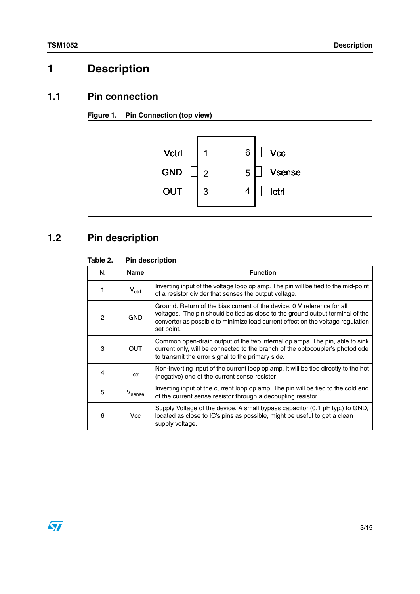# <span id="page-2-0"></span>**1 Description**

#### <span id="page-2-1"></span>**1.1 Pin connection**





# <span id="page-2-2"></span>**1.2 Pin description**

#### **Table 2. Pin description**

| N. | <b>Name</b>        | <b>Function</b>                                                                                                                                                                                                                                            |
|----|--------------------|------------------------------------------------------------------------------------------------------------------------------------------------------------------------------------------------------------------------------------------------------------|
|    | $V_{\text{ctrl}}$  | Inverting input of the voltage loop op amp. The pin will be tied to the mid-point<br>of a resistor divider that senses the output voltage.                                                                                                                 |
| 2  | <b>GND</b>         | Ground. Return of the bias current of the device, 0 V reference for all<br>voltages. The pin should be tied as close to the ground output terminal of the<br>converter as possible to minimize load current effect on the voltage regulation<br>set point. |
| 3  | <b>OUT</b>         | Common open-drain output of the two internal op amps. The pin, able to sink<br>current only, will be connected to the branch of the optocoupler's photodiode<br>to transmit the error signal to the primary side.                                          |
| 4  | $I_{\rm ctr1}$     | Non-inverting input of the current loop op amp. It will be tied directly to the hot<br>(negative) end of the current sense resistor                                                                                                                        |
| 5  | $V_{\text{sense}}$ | Inverting input of the current loop op amp. The pin will be tied to the cold end<br>of the current sense resistor through a decoupling resistor.                                                                                                           |
| 6  | Vcc                | Supply Voltage of the device. A small bypass capacitor $(0.1 \mu F$ typ.) to GND,<br>located as close to IC's pins as possible, might be useful to get a clean<br>supply voltage.                                                                          |

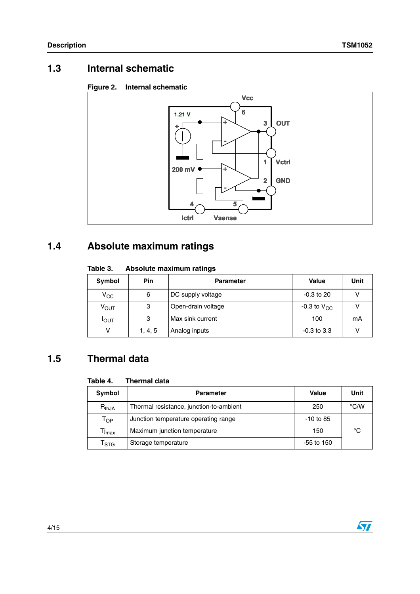### <span id="page-3-0"></span>**1.3 Internal schematic**

#### **Figure 2. Internal schematic**



### <span id="page-3-1"></span>**1.4 Absolute maximum ratings**

#### **Table 3. Absolute maximum ratings**

| Symbol           | <b>Pin</b> | <b>Parameter</b>   | <b>Value</b>     | Unit |
|------------------|------------|--------------------|------------------|------|
| $V_{\rm CC}$     | 6          | DC supply voltage  | -0.3 to 20       |      |
| ν <sub>ουτ</sub> | 3          | Open-drain voltage | -0.3 to $V_{CC}$ |      |
| Ιουτ             | 3          | Max sink current   | 100              | mА   |
|                  | 1, 4, 5    | Analog inputs      | $-0.3$ to 3.3    |      |

### <span id="page-3-2"></span>**1.5 Thermal data**

#### **Table 4. Thermal data**

| Symbol                      | <b>Parameter</b>                        | Value        | Unit |
|-----------------------------|-----------------------------------------|--------------|------|
| $R_{thJA}$                  | Thermal resistance, junction-to-ambient | 250          | °C/W |
| $\mathsf{T}_{\mathsf{OP}}$  | Junction temperature operating range    | $-10$ to 85  |      |
| Tj <sub>max</sub>           | Maximum junction temperature            | 150          | °C   |
| $\mathsf{T}_{\textsf{STG}}$ | Storage temperature                     | $-55$ to 150 |      |

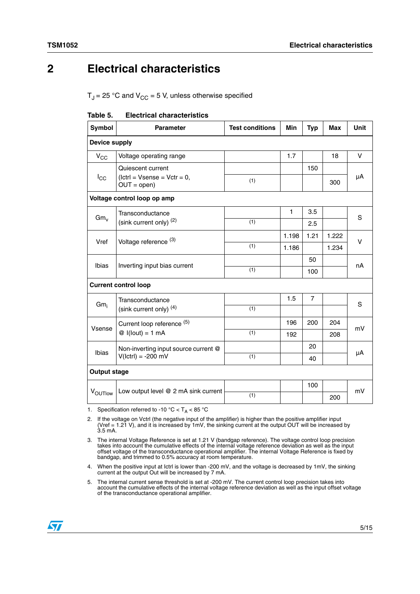### <span id="page-4-0"></span>**2 Electrical characteristics**

 $T_J$  = 25 °C and  $V_{CC}$  = 5 V, unless otherwise specified

| Table 5. |  | <b>Electrical characteristics</b> |
|----------|--|-----------------------------------|
|----------|--|-----------------------------------|

| Symbol              | <b>Parameter</b>                               | <b>Test conditions</b> | Min   | <b>Typ</b>     | <b>Max</b> | <b>Unit</b> |  |
|---------------------|------------------------------------------------|------------------------|-------|----------------|------------|-------------|--|
|                     | <b>Device supply</b>                           |                        |       |                |            |             |  |
| $V_{CC}$            | Voltage operating range                        |                        | 1.7   |                | 18         | V           |  |
|                     | Quiescent current                              |                        |       | 150            |            |             |  |
| $I_{\rm CC}$        | $(lctr) = Vsense = Vctr = 0,$<br>$OUT = open)$ | (1)                    |       |                | 300        | μA          |  |
|                     | Voltage control loop op amp                    |                        |       |                |            |             |  |
| $Gm_v$              | Transconductance                               |                        | 1     | 3.5            |            | S           |  |
|                     | (sink current only) $(2)$                      | (1)                    |       | 2.5            |            |             |  |
| Vref                | Voltage reference <sup>(3)</sup>               |                        | 1.198 | 1.21           | 1.222      | $\vee$      |  |
|                     |                                                | (1)                    | 1.186 |                | 1.234      |             |  |
| Ibias               |                                                |                        |       | 50             |            | nA          |  |
|                     | Inverting input bias current                   | (1)                    |       | 100            |            |             |  |
|                     | <b>Current control loop</b>                    |                        |       |                |            |             |  |
|                     | Transconductance                               |                        | 1.5   | $\overline{7}$ |            | S           |  |
| $Gm_i$              | (sink current only) $(4)$                      | (1)                    |       |                |            |             |  |
|                     | Current loop reference (5)                     |                        | 196   | 200            | 204        | mV          |  |
| Vsense              | $\mathcal{Q}$ I(lout) = 1 mA                   | (1)                    | 192   |                | 208        |             |  |
| <b>Ibias</b>        | Non-inverting input source current @           |                        |       | 20             |            |             |  |
|                     | $V(lctr) = -200$ mV                            | (1)                    |       | 40             |            | μA          |  |
| <b>Output stage</b> |                                                |                        |       |                |            |             |  |
|                     |                                                |                        |       | 100            |            | mV          |  |
| VOUTIOW             | Low output level @ 2 mA sink current           | (1)                    |       |                | 200        |             |  |

1. Specification referred to -10 °C <  $T_A$  < 85 °C

2. If the voltage on Vctrl (the negative input of the amplifier) is higher than the positive amplifier input (Vref = 1.21 V), and it is increased by 1mV, the sinking current at the output OUT will be increased by 3.5 mA.

3. The internal Voltage Reference is set at 1.21 V (bandgap reference). The voltage control loop precision<br>takes into account the cumulative effects of the internal voltage reference deviation as well as the input<br>offset v bandgap, and trimmed to 0.5% accuracy at room temperature.

4. When the positive input at Ictrl is lower than -200 mV, and the voltage is decreased by 1mV, the sinking current at the output Out will be increased by 7 mA.

5. The internal current sense threshold is set at -200 mV. The current control loop precision takes into<br>account the cumulative effects of the internal voltage reference deviation as well as the input offset voltage<br>of the

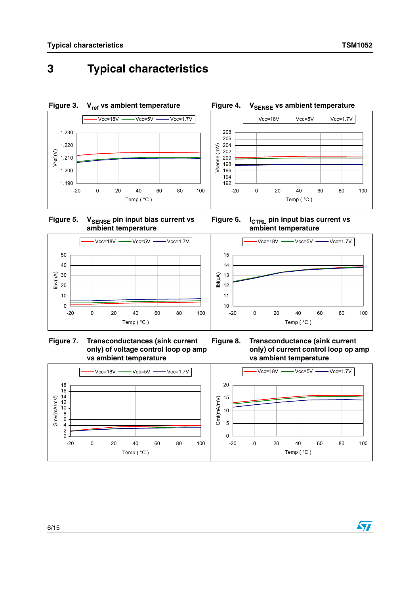# <span id="page-5-0"></span>**3 Typical characteristics**











Figure 6. I<sub>CTRL</sub> pin input bias current vs **ambient temperature**



**Figure 8. Transconductance (sink current only) of current control loop op amp vs ambient temperature**



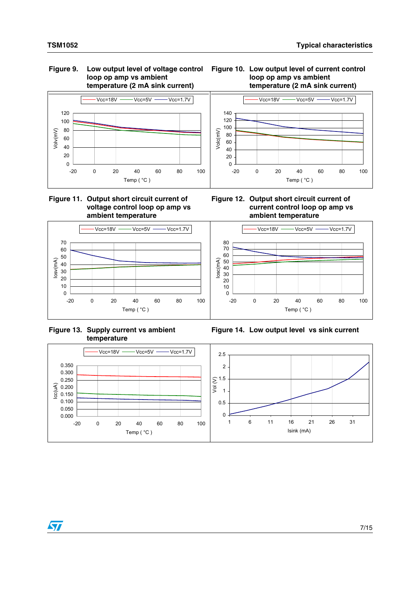### **loop op amp vs ambient temperature (2 mA sink current)**



 $Vcc=18V$   $\longrightarrow$   $Vcc=5V$   $\longrightarrow$   $Vcc=1.7V$ 



#### **Figure 11. Output short circuit current of voltage control loop op amp vs ambient temperature**



**Figure 13. Supply current vs ambient temperature**



-20 0 20 40 60 80 100 Temp ( °C )

Volc(mV)



**Figure 14. Low output level vs sink current**

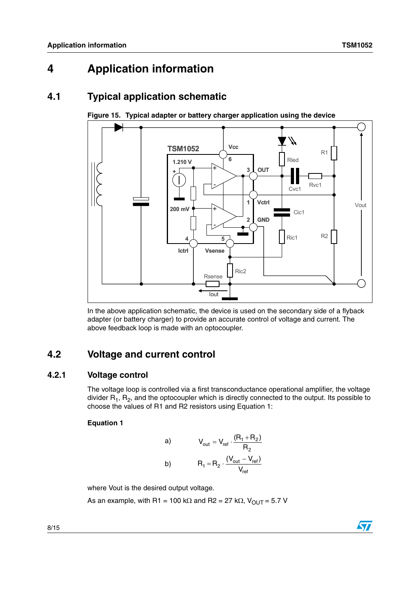## <span id="page-7-0"></span>**4 Application information**

### <span id="page-7-1"></span>**4.1 Typical application schematic**



<span id="page-7-4"></span>**Figure 15. Typical adapter or battery charger application using the device**

### <span id="page-7-2"></span>**4.2 Voltage and current control**

#### <span id="page-7-3"></span>**4.2.1 Voltage control**

The voltage loop is controlled via a first transconductance operational amplifier, the voltage divider  $R_1$ ,  $R_2$ , and the optocoupler which is directly connected to the output. Its possible to choose the values of R1 and R2 resistors using Equation 1:

#### **Equation 1**

a) 
$$
V_{out} = V_{ref} \cdot \frac{(R_1 + R_2)}{R_2}
$$
  
b) 
$$
R_1 = R_2 \cdot \frac{(V_{out} - V_{ref})}{V_{ref}}
$$

where Vout is the desired output voltage.

As an example, with R1 = 100 kΩ and R2 = 27 kΩ,  $V_{OUT}$  = 5.7 V



In the above application schematic, the device is used on the secondary side of a flyback adapter (or battery charger) to provide an accurate control of voltage and current. The above feedback loop is made with an optocoupler.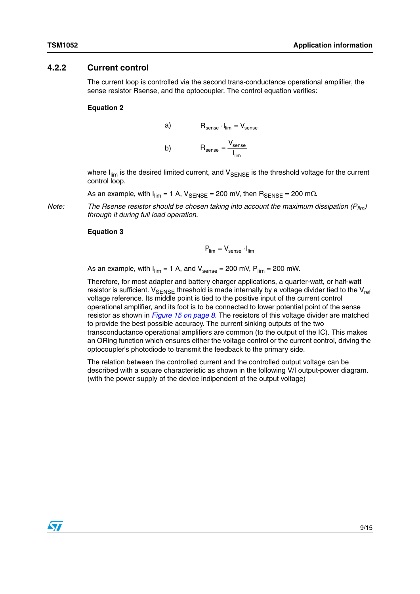#### <span id="page-8-0"></span>**4.2.2 Current control**

The current loop is controlled via the second trans-conductance operational amplifier, the sense resistor Rsense, and the optocoupler. The control equation verifies:

#### **Equation 2**

a) 
$$
R_{\text{sense}} \cdot I_{\text{lim}} = V_{\text{sense}}
$$
  
b) 
$$
R_{\text{sense}} = \frac{V_{\text{sense}}}{I_{\text{lim}}}
$$

where  $I_{\text{lim}}$  is the desired limited current, and  $V_{\text{SENSE}}$  is the threshold voltage for the current control loop.

As an example, with  $I_{\text{lim}} = 1$  A,  $V_{\text{SENSE}} = 200$  mV, then  $R_{\text{SENSE}} = 200$  m $\Omega$ .

*Note: The Rsense resistor should be chosen taking into account the maximum dissipation (Plim) through it during full load operation.* 

#### **Equation 3**

$$
\textbf{P}_{\text{lim}} = \textbf{V}_{\text{sense}} \cdot \textbf{I}_{\text{lim}}
$$

As an example, with  $I_{\text{lim}} = 1$  A, and  $V_{\text{sense}} = 200$  mV,  $P_{\text{lim}} = 200$  mW.

Therefore, for most adapter and battery charger applications, a quarter-watt, or half-watt resistor is sufficient.  $V_{\text{SENSF}}$  threshold is made internally by a voltage divider tied to the  $V_{\text{ref}}$ voltage reference. Its middle point is tied to the positive input of the current control operational amplifier, and its foot is to be connected to lower potential point of the sense resistor as shown in *[Figure 15 on page 8](#page-7-4).* The resistors of this voltage divider are matched to provide the best possible accuracy. The current sinking outputs of the two transconductance operational amplifiers are common (to the output of the IC). This makes an ORing function which ensures either the voltage control or the current control, driving the optocoupler's photodiode to transmit the feedback to the primary side.

The relation between the controlled current and the controlled output voltage can be described with a square characteristic as shown in the following V/I output-power diagram. (with the power supply of the device indipendent of the output voltage)

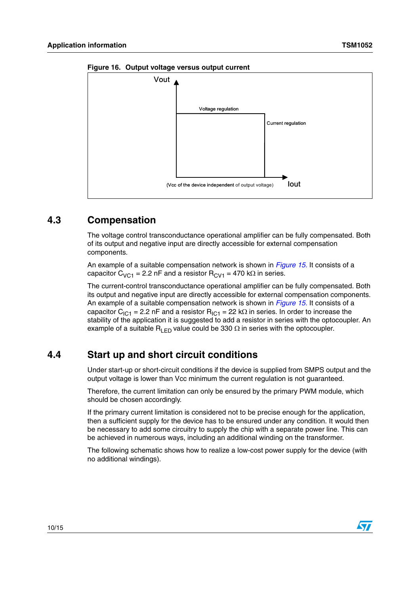

**Figure 16. Output voltage versus output current**

### <span id="page-9-0"></span>**4.3 Compensation**

The voltage control transconductance operational amplifier can be fully compensated. Both of its output and negative input are directly accessible for external compensation components.

An example of a suitable compensation network is shown in *[Figure 15.](#page-7-4)* It consists of a capacitor C<sub>VC1</sub> = 2.2 nF and a resistor R<sub>CV1</sub> = 470 kΩ in series.

The current-control transconductance operational amplifier can be fully compensated. Both its output and negative input are directly accessible for external compensation components. An example of a suitable compensation network is shown in *[Figure 15.](#page-7-4)* It consists of a capacitor C<sub>IC1</sub> = 2.2 nF and a resistor R<sub>IC1</sub> = 22 kΩ in series. In order to increase the stability of the application it is suggested to add a resistor in series with the optocoupler. An example of a suitable R<sub>LED</sub> value could be 330  $\Omega$  in series with the optocoupler.

### <span id="page-9-1"></span>**4.4 Start up and short circuit conditions**

Under start-up or short-circuit conditions if the device is supplied from SMPS output and the output voltage is lower than Vcc minimum the current regulation is not guaranteed.

Therefore, the current limitation can only be ensured by the primary PWM module, which should be chosen accordingly.

If the primary current limitation is considered not to be precise enough for the application, then a sufficient supply for the device has to be ensured under any condition. It would then be necessary to add some circuitry to supply the chip with a separate power line. This can be achieved in numerous ways, including an additional winding on the transformer.

The following schematic shows how to realize a low-cost power supply for the device (with no additional windings).

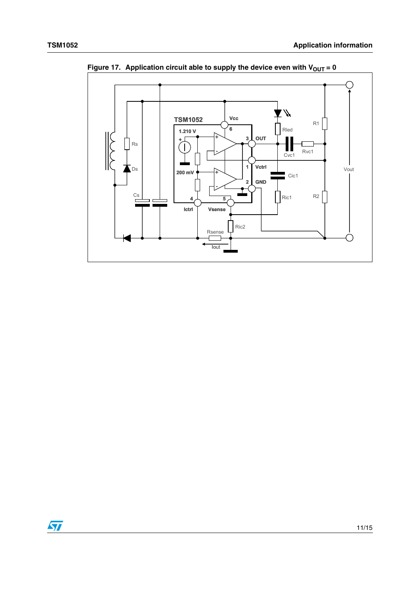

**Figure 17.** Application circuit able to supply the device even with  $V_{OUT} = 0$ 

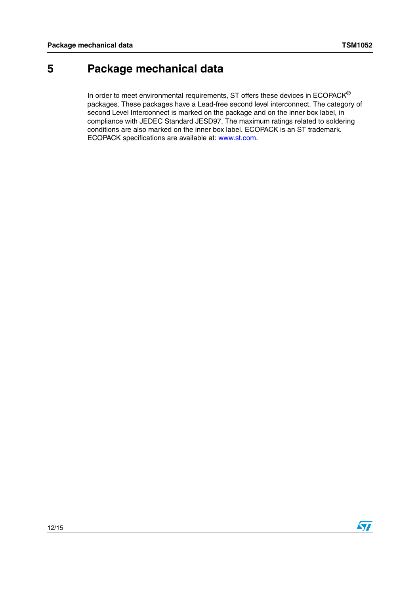## <span id="page-11-0"></span>**5 Package mechanical data**

In order to meet environmental requirements, ST offers these devices in  $ECOPACK^{\circledast}$ packages. These packages have a Lead-free second level interconnect. The category of second Level Interconnect is marked on the package and on the inner box label, in compliance with JEDEC Standard JESD97. The maximum ratings related to soldering conditions are also marked on the inner box label. ECOPACK is an ST trademark. ECOPACK specifications are available at: www.st.com.

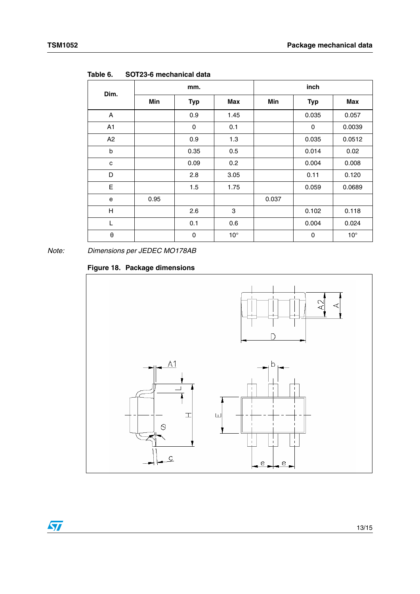| Dim.                  | mm.  |             |              | inch  |            |              |
|-----------------------|------|-------------|--------------|-------|------------|--------------|
|                       | Min  | <b>Typ</b>  | Max          | Min   | <b>Typ</b> | Max          |
| A                     |      | 0.9         | 1.45         |       | 0.035      | 0.057        |
| A1                    |      | 0           | 0.1          |       | 0          | 0.0039       |
| A2                    |      | 0.9         | 1.3          |       | 0.035      | 0.0512       |
| b                     |      | 0.35        | 0.5          |       | 0.014      | 0.02         |
| c                     |      | 0.09        | 0.2          |       | 0.004      | 0.008        |
| D                     |      | 2.8         | 3.05         |       | 0.11       | 0.120        |
| E                     |      | 1.5         | 1.75         |       | 0.059      | 0.0689       |
| e                     | 0.95 |             |              | 0.037 |            |              |
| H                     |      | 2.6         | 3            |       | 0.102      | 0.118        |
| L                     |      | 0.1         | 0.6          |       | 0.004      | 0.024        |
| $\boldsymbol{\theta}$ |      | $\mathbf 0$ | $10^{\circ}$ |       | 0          | $10^{\circ}$ |

**Table 6. SOT23-6 mechanical data**

*Note: Dimensions per JEDEC MO178AB*

#### **Figure 18. Package dimensions**

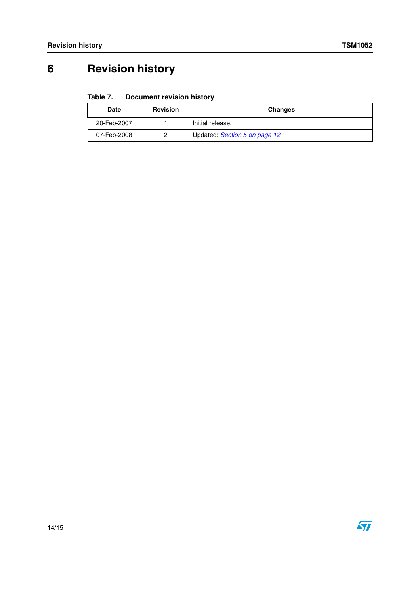# <span id="page-13-0"></span>**6 Revision history**

#### Table 7. **Document revision history**

| <b>Date</b> | <b>Revision</b> | <b>Changes</b>                |
|-------------|-----------------|-------------------------------|
| 20-Feb-2007 |                 | Initial release.              |
| 07-Feb-2008 |                 | Updated: Section 5 on page 12 |